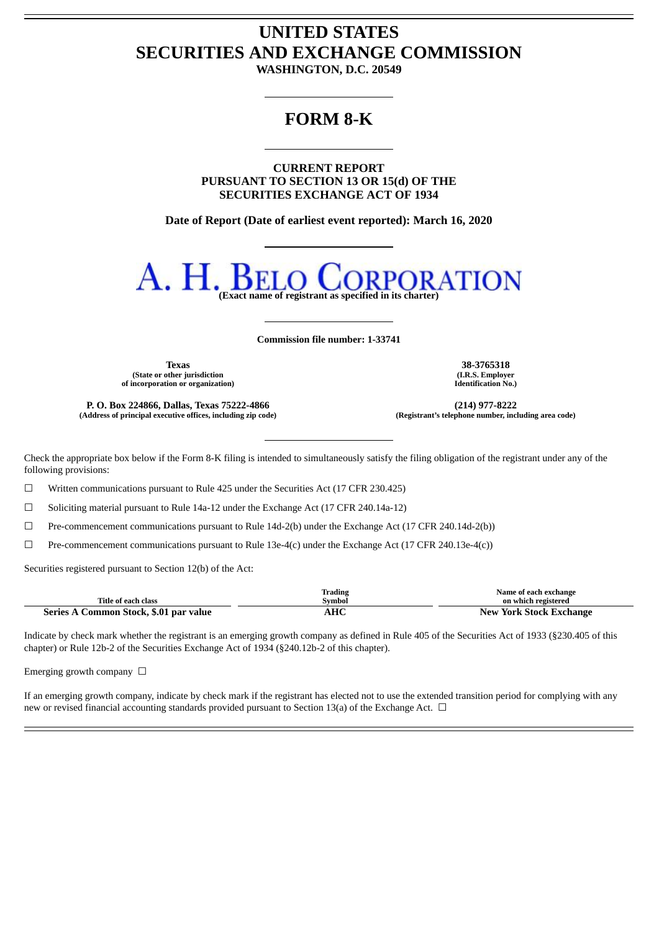# **UNITED STATES SECURITIES AND EXCHANGE COMMISSION**

**WASHINGTON, D.C. 20549**

# **FORM 8-K**

**CURRENT REPORT PURSUANT TO SECTION 13 OR 15(d) OF THE SECURITIES EXCHANGE ACT OF 1934**

**Date of Report (Date of earliest event reported): March 16, 2020**



**Commission file number: 1-33741**

**Texas 38-3765318 (State or other jurisdiction of incorporation or organization)**

**P. O. Box 224866, Dallas, Texas 75222-4866 (214) 977-8222 (Address of principal executive offices, including zip code) (Registrant's telephone number, including area code)**

**(I.R.S. Employer Identification No.)**

Check the appropriate box below if the Form 8-K filing is intended to simultaneously satisfy the filing obligation of the registrant under any of the following provisions:

☐ Written communications pursuant to Rule 425 under the Securities Act (17 CFR 230.425)

☐ Soliciting material pursuant to Rule 14a-12 under the Exchange Act (17 CFR 240.14a-12)

☐ Pre-commencement communications pursuant to Rule 14d-2(b) under the Exchange Act (17 CFR 240.14d-2(b))

 $\Box$  Pre-commencement communications pursuant to Rule 13e-4(c) under the Exchange Act (17 CFR 240.13e-4(c))

Securities registered pursuant to Section 12(b) of the Act:

|                                         | Trading                     | Name of each exchange        |
|-----------------------------------------|-----------------------------|------------------------------|
| Title of each class                     | Svmbol                      | on which registered          |
| Common Stock, \$.01 par value<br>Series | <b>TIC</b><br>апс<br>$\sim$ | New<br>⁄ York Stock Exchange |

Indicate by check mark whether the registrant is an emerging growth company as defined in Rule 405 of the Securities Act of 1933 (§230.405 of this chapter) or Rule 12b-2 of the Securities Exchange Act of 1934 (§240.12b-2 of this chapter).

Emerging growth company  $\Box$ 

If an emerging growth company, indicate by check mark if the registrant has elected not to use the extended transition period for complying with any new or revised financial accounting standards provided pursuant to Section 13(a) of the Exchange Act.  $\Box$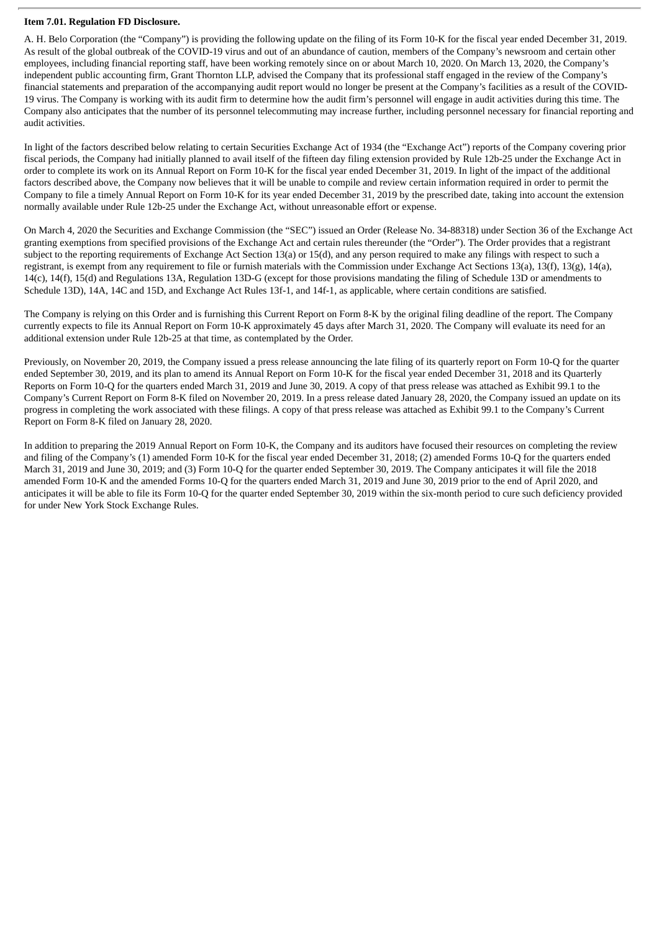#### **Item 7.01. Regulation FD Disclosure.**

A. H. Belo Corporation (the "Company") is providing the following update on the filing of its Form 10-K for the fiscal year ended December 31, 2019. As result of the global outbreak of the COVID-19 virus and out of an abundance of caution, members of the Company's newsroom and certain other employees, including financial reporting staff, have been working remotely since on or about March 10, 2020. On March 13, 2020, the Company's independent public accounting firm, Grant Thornton LLP, advised the Company that its professional staff engaged in the review of the Company's financial statements and preparation of the accompanying audit report would no longer be present at the Company's facilities as a result of the COVID-19 virus. The Company is working with its audit firm to determine how the audit firm's personnel will engage in audit activities during this time. The Company also anticipates that the number of its personnel telecommuting may increase further, including personnel necessary for financial reporting and audit activities.

In light of the factors described below relating to certain Securities Exchange Act of 1934 (the "Exchange Act") reports of the Company covering prior fiscal periods, the Company had initially planned to avail itself of the fifteen day filing extension provided by Rule 12b-25 under the Exchange Act in order to complete its work on its Annual Report on Form 10-K for the fiscal year ended December 31, 2019. In light of the impact of the additional factors described above, the Company now believes that it will be unable to compile and review certain information required in order to permit the Company to file a timely Annual Report on Form 10-K for its year ended December 31, 2019 by the prescribed date, taking into account the extension normally available under Rule 12b-25 under the Exchange Act, without unreasonable effort or expense.

On March 4, 2020 the Securities and Exchange Commission (the "SEC") issued an Order (Release No. 34-88318) under Section 36 of the Exchange Act granting exemptions from specified provisions of the Exchange Act and certain rules thereunder (the "Order"). The Order provides that a registrant subject to the reporting requirements of Exchange Act Section 13(a) or 15(d), and any person required to make any filings with respect to such a registrant, is exempt from any requirement to file or furnish materials with the Commission under Exchange Act Sections 13(a), 13(f), 13(g), 14(a), 14(c), 14(f), 15(d) and Regulations 13A, Regulation 13D-G (except for those provisions mandating the filing of Schedule 13D or amendments to Schedule 13D), 14A, 14C and 15D, and Exchange Act Rules 13f-1, and 14f-1, as applicable, where certain conditions are satisfied.

The Company is relying on this Order and is furnishing this Current Report on Form 8-K by the original filing deadline of the report. The Company currently expects to file its Annual Report on Form 10-K approximately 45 days after March 31, 2020. The Company will evaluate its need for an additional extension under Rule 12b-25 at that time, as contemplated by the Order.

Previously, on November 20, 2019, the Company issued a press release announcing the late filing of its quarterly report on Form 10-Q for the quarter ended September 30, 2019, and its plan to amend its Annual Report on Form 10-K for the fiscal year ended December 31, 2018 and its Quarterly Reports on Form 10-Q for the quarters ended March 31, 2019 and June 30, 2019. A copy of that press release was attached as Exhibit 99.1 to the Company's Current Report on Form 8-K filed on November 20, 2019. In a press release dated January 28, 2020, the Company issued an update on its progress in completing the work associated with these filings. A copy of that press release was attached as Exhibit 99.1 to the Company's Current Report on Form 8-K filed on January 28, 2020.

In addition to preparing the 2019 Annual Report on Form 10-K, the Company and its auditors have focused their resources on completing the review and filing of the Company's (1) amended Form 10-K for the fiscal year ended December 31, 2018; (2) amended Forms 10-Q for the quarters ended March 31, 2019 and June 30, 2019; and (3) Form 10-Q for the quarter ended September 30, 2019. The Company anticipates it will file the 2018 amended Form 10-K and the amended Forms 10-Q for the quarters ended March 31, 2019 and June 30, 2019 prior to the end of April 2020, and anticipates it will be able to file its Form 10-Q for the quarter ended September 30, 2019 within the six-month period to cure such deficiency provided for under New York Stock Exchange Rules.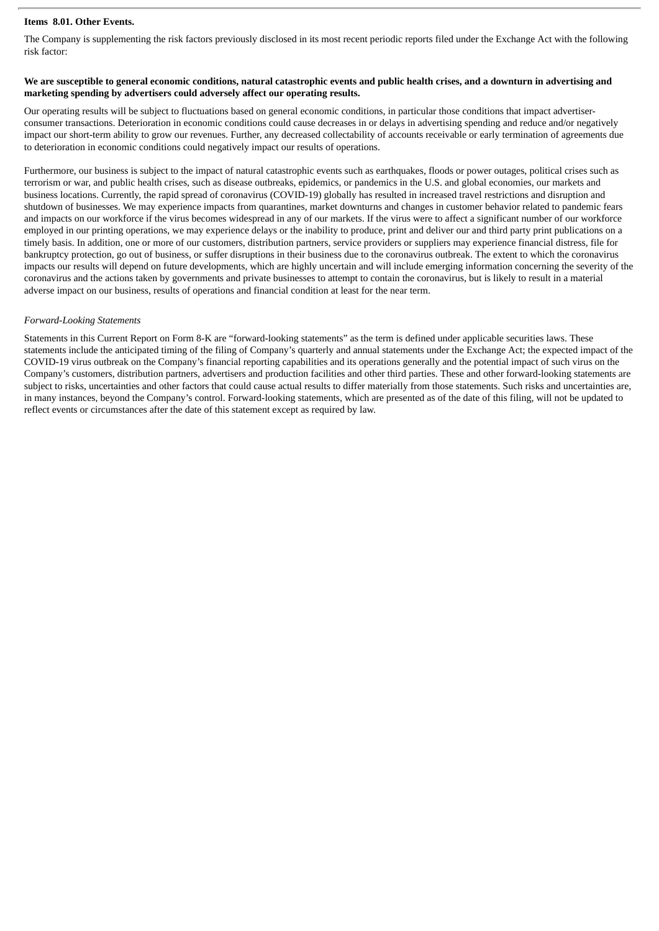## **Items 8.01. Other Events.**

The Company is supplementing the risk factors previously disclosed in its most recent periodic reports filed under the Exchange Act with the following risk factor:

### We are susceptible to general economic conditions, natural catastrophic events and public health crises, and a downturn in advertising and **marketing spending by advertisers could adversely affect our operating results.**

Our operating results will be subject to fluctuations based on general economic conditions, in particular those conditions that impact advertiserconsumer transactions. Deterioration in economic conditions could cause decreases in or delays in advertising spending and reduce and/or negatively impact our short-term ability to grow our revenues. Further, any decreased collectability of accounts receivable or early termination of agreements due to deterioration in economic conditions could negatively impact our results of operations.

Furthermore, our business is subject to the impact of natural catastrophic events such as earthquakes, floods or power outages, political crises such as terrorism or war, and public health crises, such as disease outbreaks, epidemics, or pandemics in the U.S. and global economies, our markets and business locations. Currently, the rapid spread of coronavirus (COVID-19) globally has resulted in increased travel restrictions and disruption and shutdown of businesses. We may experience impacts from quarantines, market downturns and changes in customer behavior related to pandemic fears and impacts on our workforce if the virus becomes widespread in any of our markets. If the virus were to affect a significant number of our workforce employed in our printing operations, we may experience delays or the inability to produce, print and deliver our and third party print publications on a timely basis. In addition, one or more of our customers, distribution partners, service providers or suppliers may experience financial distress, file for bankruptcy protection, go out of business, or suffer disruptions in their business due to the coronavirus outbreak. The extent to which the coronavirus impacts our results will depend on future developments, which are highly uncertain and will include emerging information concerning the severity of the coronavirus and the actions taken by governments and private businesses to attempt to contain the coronavirus, but is likely to result in a material adverse impact on our business, results of operations and financial condition at least for the near term.

#### *Forward-Looking Statements*

Statements in this Current Report on Form 8-K are "forward-looking statements" as the term is defined under applicable securities laws. These statements include the anticipated timing of the filing of Company's quarterly and annual statements under the Exchange Act; the expected impact of the COVID-19 virus outbreak on the Company's financial reporting capabilities and its operations generally and the potential impact of such virus on the Company's customers, distribution partners, advertisers and production facilities and other third parties. These and other forward-looking statements are subject to risks, uncertainties and other factors that could cause actual results to differ materially from those statements. Such risks and uncertainties are, in many instances, beyond the Company's control. Forward-looking statements, which are presented as of the date of this filing, will not be updated to reflect events or circumstances after the date of this statement except as required by law.